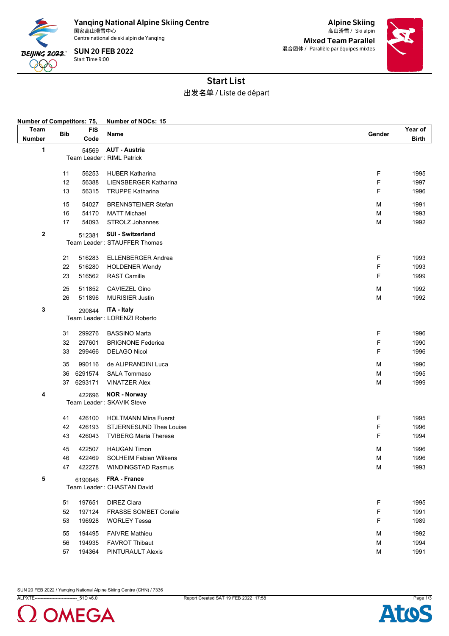

Yanqing National Alpine Skiing Centre<br><sub>国家高山滑雪中心</sub> 国家高山滑雪中心 Ski alpin 高山滑雪 /

Centre national de ski alpin de Yanqing

Start Time 9:00 SUN 20 FEB 2022

Alpine Skiing Mixed Team Parallel 混合团体 / Parallèle par équipes mixtes



## Start List

## 出发名单 / Liste de départ

| Number of Competitors: 75, |                              |                    | Number of NOCs: 15                         |        |                  |  |  |
|----------------------------|------------------------------|--------------------|--------------------------------------------|--------|------------------|--|--|
| Team<br><b>Number</b>      | <b>Bib</b>                   | <b>FIS</b><br>Code | Name                                       | Gender | Year of<br>Birth |  |  |
| 1                          |                              | 54569              | <b>AUT - Austria</b>                       |        |                  |  |  |
|                            | Team Leader: RIML Patrick    |                    |                                            |        |                  |  |  |
|                            |                              |                    |                                            |        |                  |  |  |
|                            | 11                           | 56253              | <b>HUBER Katharina</b>                     | F      | 1995             |  |  |
|                            | 12                           | 56388              | LIENSBERGER Katharina                      | F      | 1997             |  |  |
|                            | 13                           | 56315              | <b>TRUPPE Katharina</b>                    | F      | 1996             |  |  |
|                            | 15                           | 54027              | <b>BRENNSTEINER Stefan</b>                 | М      | 1991             |  |  |
|                            | 16                           | 54170              | <b>MATT Michael</b>                        | M      | 1993             |  |  |
|                            | 17                           | 54093              | STROLZ Johannes                            | M      | 1992             |  |  |
| 2                          | 512381                       |                    | SUI - Switzerland                          |        |                  |  |  |
|                            |                              |                    | Team Leader: STAUFFER Thomas               |        |                  |  |  |
|                            | 21                           | 516283             | <b>ELLENBERGER Andrea</b>                  | F      | 1993             |  |  |
|                            | 22                           | 516280             | <b>HOLDENER Wendy</b>                      | F      | 1993             |  |  |
|                            | 23                           | 516562             | <b>RAST Camille</b>                        | F      | 1999             |  |  |
|                            | 25                           | 511852             | <b>CAVIEZEL Gino</b>                       | M      | 1992             |  |  |
|                            | 26                           | 511896             | <b>MURISIER Justin</b>                     | M      | 1992             |  |  |
|                            |                              |                    |                                            |        |                  |  |  |
| 3                          |                              | 290844             | <b>ITA - Italy</b>                         |        |                  |  |  |
|                            | Team Leader: LORENZI Roberto |                    |                                            |        |                  |  |  |
|                            | 31                           | 299276             | <b>BASSINO Marta</b>                       | F      | 1996             |  |  |
|                            | 32                           | 297601             | <b>BRIGNONE Federica</b>                   | F      | 1990             |  |  |
|                            | 33                           | 299466             | <b>DELAGO Nicol</b>                        | F      | 1996             |  |  |
|                            | 35                           | 990116             | de ALIPRANDINI Luca                        | M      | 1990             |  |  |
|                            | 36                           | 6291574            | <b>SALA Tommaso</b>                        | M      | 1995             |  |  |
|                            | 37                           | 6293171            | <b>VINATZER Alex</b>                       | M      | 1999             |  |  |
| 4                          |                              | 422696             | <b>NOR - Norway</b>                        |        |                  |  |  |
|                            |                              |                    | Team Leader: SKAVIK Steve                  |        |                  |  |  |
|                            | 41                           | 426100             | <b>HOLTMANN Mina Fuerst</b>                | F      | 1995             |  |  |
|                            | 42                           | 426193             | <b>STJERNESUND Thea Louise</b>             | F      | 1996             |  |  |
|                            | 43                           | 426043             | <b>TVIBERG Maria Therese</b>               | F      | 1994             |  |  |
|                            | 45                           | 422507             | <b>HAUGAN Timon</b>                        | M      | 1996             |  |  |
|                            |                              | 422469             | <b>SOLHEIM Fabian Wilkens</b>              |        | 1996             |  |  |
|                            | 46<br>47                     | 422278             | <b>WINDINGSTAD Rasmus</b>                  | M<br>М | 1993             |  |  |
|                            |                              |                    |                                            |        |                  |  |  |
| 5                          |                              | 6190846            | FRA - France<br>Team Leader: CHASTAN David |        |                  |  |  |
|                            |                              |                    |                                            |        |                  |  |  |
|                            | 51                           | 197651             | <b>DIREZ Clara</b>                         | F      | 1995             |  |  |
|                            | 52                           | 197124             | <b>FRASSE SOMBET Coralie</b>               | F      | 1991             |  |  |
|                            | 53                           | 196928             | <b>WORLEY Tessa</b>                        | F      | 1989             |  |  |
|                            | 55                           | 194495             | <b>FAIVRE Mathieu</b>                      | M      | 1992             |  |  |
|                            | 56                           | 194935             | <b>FAVROT Thibaut</b>                      | M      | 1994             |  |  |
|                            | 57                           | 194364             | <b>PINTURAULT Alexis</b>                   | M      | 1991             |  |  |

SUN 20 FEB 2022 / Yanqing National Alpine Skiing Centre (CHN) / 7336

ALPXTE----------------------------\_51D v6.0 Report Created SAT 19 FEB 2022 17:58 Page 1/3



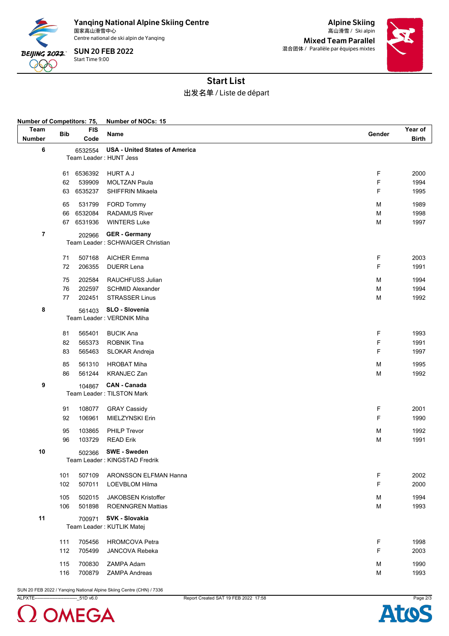

Yanqing National Alpine Skiing Centre<br><sub>国家高山滑雪中心</sub> 国家高山滑雪中心 Ski alpin 高山滑雪 /

Centre national de ski alpin de Yanqing

Start Time 9:00 SUN 20 FEB 2022

Alpine Skiing Mixed Team Parallel 混合团体 / Parallèle par équipes mixtes



## Start List

出发名单 / Liste de départ

| <b>Number of Competitors: 75,</b> |            |            | Number of NOCs: 15                                       |        |              |  |  |  |  |
|-----------------------------------|------------|------------|----------------------------------------------------------|--------|--------------|--|--|--|--|
| Team                              | <b>Bib</b> | <b>FIS</b> | Name                                                     | Gender | Year of      |  |  |  |  |
| <b>Number</b>                     |            | Code       |                                                          |        | <b>Birth</b> |  |  |  |  |
| 6                                 |            | 6532554    | <b>USA - United States of America</b>                    |        |              |  |  |  |  |
|                                   |            |            | Team Leader: HUNT Jess                                   |        |              |  |  |  |  |
|                                   |            |            |                                                          |        |              |  |  |  |  |
|                                   | 61         | 6536392    | <b>HURT A J</b>                                          | F      | 2000         |  |  |  |  |
|                                   | 62         | 539909     | <b>MOLTZAN Paula</b>                                     | F      | 1994         |  |  |  |  |
|                                   | 63         | 6535237    | SHIFFRIN Mikaela                                         | F      | 1995         |  |  |  |  |
|                                   | 65         | 531799     | FORD Tommy                                               | M      | 1989         |  |  |  |  |
|                                   | 66         | 6532084    | <b>RADAMUS River</b>                                     | M      | 1998         |  |  |  |  |
|                                   |            | 67 6531936 | <b>WINTERS Luke</b>                                      | M      | 1997         |  |  |  |  |
|                                   |            |            |                                                          |        |              |  |  |  |  |
| 7                                 |            | 202966     | <b>GER</b> - Germany<br>Team Leader: SCHWAIGER Christian |        |              |  |  |  |  |
|                                   |            |            |                                                          |        |              |  |  |  |  |
|                                   | 71         | 507168     | <b>AICHER Emma</b>                                       | F      | 2003         |  |  |  |  |
|                                   | 72         | 206355     | <b>DUERR Lena</b>                                        | F      | 1991         |  |  |  |  |
|                                   | 75         | 202584     | RAUCHFUSS Julian                                         | M      | 1994         |  |  |  |  |
|                                   | 76         | 202597     | <b>SCHMID Alexander</b>                                  | M      | 1994         |  |  |  |  |
|                                   | 77         | 202451     | <b>STRASSER Linus</b>                                    | M      | 1992         |  |  |  |  |
|                                   |            |            |                                                          |        |              |  |  |  |  |
| 8                                 |            | 561403     | SLO - Slovenia                                           |        |              |  |  |  |  |
|                                   |            |            | Team Leader: VERDNIK Miha                                |        |              |  |  |  |  |
|                                   | 81         | 565401     | <b>BUCIK Ana</b>                                         | F      | 1993         |  |  |  |  |
|                                   | 82         | 565373     | <b>ROBNIK Tina</b>                                       | F      | 1991         |  |  |  |  |
|                                   | 83         | 565463     | SLOKAR Andreja                                           | F      | 1997         |  |  |  |  |
|                                   |            |            |                                                          |        |              |  |  |  |  |
|                                   | 85         | 561310     | <b>HROBAT Miha</b>                                       | M      | 1995         |  |  |  |  |
|                                   | 86         | 561244     | <b>KRANJEC Zan</b>                                       | M      | 1992         |  |  |  |  |
| 9                                 |            | 104867     | <b>CAN - Canada</b>                                      |        |              |  |  |  |  |
|                                   |            |            | Team Leader: TILSTON Mark                                |        |              |  |  |  |  |
|                                   | 91         | 108077     | <b>GRAY Cassidy</b>                                      | F      | 2001         |  |  |  |  |
|                                   | 92         | 106961     | MIELZYNSKI Erin                                          | F      | 1990         |  |  |  |  |
|                                   |            |            |                                                          |        |              |  |  |  |  |
|                                   | 95         | 103865     | PHILP Trevor                                             | M      | 1992         |  |  |  |  |
|                                   | 96         | 103729     | <b>READ Erik</b>                                         | M      | 1991         |  |  |  |  |
| 10                                |            | 502366     | <b>SWE - Sweden</b>                                      |        |              |  |  |  |  |
|                                   |            |            | Team Leader : KINGSTAD Fredrik                           |        |              |  |  |  |  |
|                                   |            |            |                                                          |        |              |  |  |  |  |
|                                   | 101        | 507109     | <b>ARONSSON ELFMAN Hanna</b>                             | F      | 2002         |  |  |  |  |
|                                   | 102        | 507011     | LOEVBLOM Hilma                                           | F      | 2000         |  |  |  |  |
|                                   | 105        | 502015     | <b>JAKOBSEN Kristoffer</b>                               | M      | 1994         |  |  |  |  |
|                                   | 106        | 501898     | <b>ROENNGREN Mattias</b>                                 | M      | 1993         |  |  |  |  |
| 11                                |            | 700971     | SVK - Slovakia                                           |        |              |  |  |  |  |
|                                   |            |            | Team Leader: KUTLIK Matej                                |        |              |  |  |  |  |
|                                   |            |            |                                                          |        |              |  |  |  |  |
|                                   | 111        | 705456     | <b>HROMCOVA Petra</b>                                    | F      | 1998         |  |  |  |  |
|                                   | 112        | 705499     | <b>JANCOVA Rebeka</b>                                    | F      | 2003         |  |  |  |  |
|                                   | 115        | 700830     | ZAMPA Adam                                               | M      | 1990         |  |  |  |  |
|                                   | 116        | 700879     | <b>ZAMPA Andreas</b>                                     | M      | 1993         |  |  |  |  |

SUN 20 FEB 2022 / Yanqing National Alpine Skiing Centre (CHN) / 7336